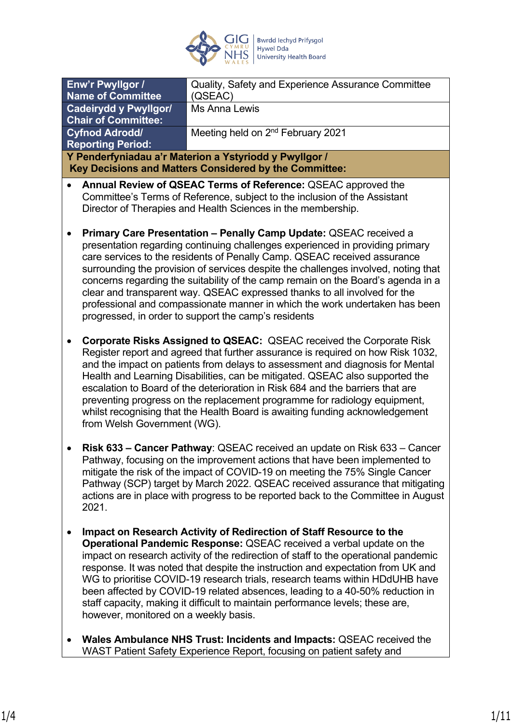

Director of Therapies and Health Sciences in the membership.

| Enw'r Pwyllgor /                                                                                                                           | Quality, Safety and Experience Assurance Committee |  |
|--------------------------------------------------------------------------------------------------------------------------------------------|----------------------------------------------------|--|
| <b>Name of Committee</b>                                                                                                                   | (QSEAC)                                            |  |
| <b>Cadeirydd y Pwyllgor/</b>                                                                                                               | Ms Anna Lewis                                      |  |
| <b>Chair of Committee:</b>                                                                                                                 |                                                    |  |
| <b>Cyfnod Adrodd/</b>                                                                                                                      | Meeting held on 2 <sup>nd</sup> February 2021      |  |
| <b>Reporting Period:</b>                                                                                                                   |                                                    |  |
| Y Penderfyniadau a'r Materion a Ystyriodd y Pwyllgor /                                                                                     |                                                    |  |
| Key Decisions and Matters Considered by the Committee:                                                                                     |                                                    |  |
| Annual Review of QSEAC Terms of Reference: QSEAC approved the<br>Committee's Terms of Reference, subject to the inclusion of the Assistant |                                                    |  |

- **Primary Care Presentation Penally Camp Update:** QSEAC received a presentation regarding continuing challenges experienced in providing primary care services to the residents of Penally Camp. QSEAC received assurance surrounding the provision of services despite the challenges involved, noting that concerns regarding the suitability of the camp remain on the Board's agenda in a clear and transparent way. QSEAC expressed thanks to all involved for the professional and compassionate manner in which the work undertaken has been progressed, in order to support the camp's residents
- **Corporate Risks Assigned to QSEAC:** QSEAC received the Corporate Risk Register report and agreed that further assurance is required on how Risk 1032, and the impact on patients from delays to assessment and diagnosis for Mental Health and Learning Disabilities, can be mitigated. QSEAC also supported the escalation to Board of the deterioration in Risk 684 and the barriers that are preventing progress on the replacement programme for radiology equipment, whilst recognising that the Health Board is awaiting funding acknowledgement from Welsh Government (WG).
- **Risk 633 Cancer Pathway**: QSEAC received an update on Risk 633 Cancer Pathway, focusing on the improvement actions that have been implemented to mitigate the risk of the impact of COVID-19 on meeting the 75% Single Cancer Pathway (SCP) target by March 2022. QSEAC received assurance that mitigating actions are in place with progress to be reported back to the Committee in August 2021.
- **Impact on Research Activity of Redirection of Staff Resource to the Operational Pandemic Response:** QSEAC received a verbal update on the impact on research activity of the redirection of staff to the operational pandemic response. It was noted that despite the instruction and expectation from UK and WG to prioritise COVID-19 research trials, research teams within HDdUHB have been affected by COVID-19 related absences, leading to a 40-50% reduction in staff capacity, making it difficult to maintain performance levels; these are, however, monitored on a weekly basis.
- **Wales Ambulance NHS Trust: Incidents and Impacts:** QSEAC received the WAST Patient Safety Experience Report, focusing on patient safety and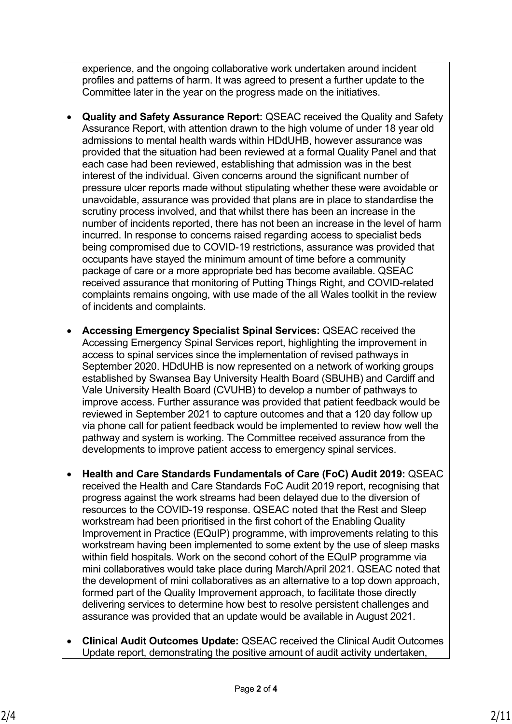experience, and the ongoing collaborative work undertaken around incident profiles and patterns of harm. It was agreed to present a further update to the Committee later in the year on the progress made on the initiatives.

- **Quality and Safety Assurance Report:** QSEAC received the Quality and Safety Assurance Report, with attention drawn to the high volume of under 18 year old admissions to mental health wards within HDdUHB, however assurance was provided that the situation had been reviewed at a formal Quality Panel and that each case had been reviewed, establishing that admission was in the best interest of the individual. Given concerns around the significant number of pressure ulcer reports made without stipulating whether these were avoidable or unavoidable, assurance was provided that plans are in place to standardise the scrutiny process involved, and that whilst there has been an increase in the number of incidents reported, there has not been an increase in the level of harm incurred. In response to concerns raised regarding access to specialist beds being compromised due to COVID-19 restrictions, assurance was provided that occupants have stayed the minimum amount of time before a community package of care or a more appropriate bed has become available. QSEAC received assurance that monitoring of Putting Things Right, and COVID-related complaints remains ongoing, with use made of the all Wales toolkit in the review of incidents and complaints.
- **Accessing Emergency Specialist Spinal Services:** QSEAC received the Accessing Emergency Spinal Services report, highlighting the improvement in access to spinal services since the implementation of revised pathways in September 2020. HDdUHB is now represented on a network of working groups established by Swansea Bay University Health Board (SBUHB) and Cardiff and Vale University Health Board (CVUHB) to develop a number of pathways to improve access. Further assurance was provided that patient feedback would be reviewed in September 2021 to capture outcomes and that a 120 day follow up via phone call for patient feedback would be implemented to review how well the pathway and system is working. The Committee received assurance from the developments to improve patient access to emergency spinal services.
- **Health and Care Standards Fundamentals of Care (FoC) Audit 2019:** QSEAC received the Health and Care Standards FoC Audit 2019 report, recognising that progress against the work streams had been delayed due to the diversion of resources to the COVID-19 response. QSEAC noted that the Rest and Sleep workstream had been prioritised in the first cohort of the Enabling Quality Improvement in Practice (EQuIP) programme, with improvements relating to this workstream having been implemented to some extent by the use of sleep masks within field hospitals. Work on the second cohort of the EQuIP programme via mini collaboratives would take place during March/April 2021. QSEAC noted that the development of mini collaboratives as an alternative to a top down approach, formed part of the Quality Improvement approach, to facilitate those directly delivering services to determine how best to resolve persistent challenges and assurance was provided that an update would be available in August 2021.
- **Clinical Audit Outcomes Update:** QSEAC received the Clinical Audit Outcomes Update report, demonstrating the positive amount of audit activity undertaken,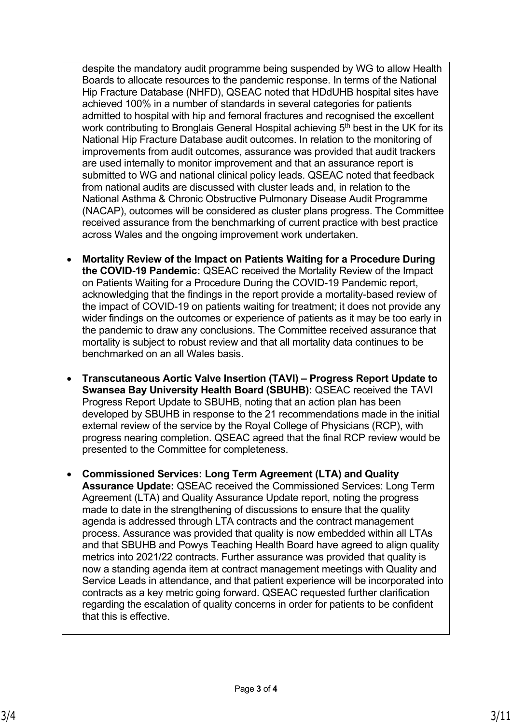despite the mandatory audit programme being suspended by WG to allow Health Boards to allocate resources to the pandemic response. In terms of the National Hip Fracture Database (NHFD), QSEAC noted that HDdUHB hospital sites have achieved 100% in a number of standards in several categories for patients admitted to hospital with hip and femoral fractures and recognised the excellent work contributing to Bronglais General Hospital achieving  $5<sup>th</sup>$  best in the UK for its National Hip Fracture Database audit outcomes. In relation to the monitoring of improvements from audit outcomes, assurance was provided that audit trackers are used internally to monitor improvement and that an assurance report is submitted to WG and national clinical policy leads. QSEAC noted that feedback from national audits are discussed with cluster leads and, in relation to the National Asthma & Chronic Obstructive Pulmonary Disease Audit Programme (NACAP), outcomes will be considered as cluster plans progress. The Committee received assurance from the benchmarking of current practice with best practice across Wales and the ongoing improvement work undertaken.

- **Mortality Review of the Impact on Patients Waiting for a Procedure During the COVID-19 Pandemic:** QSEAC received the Mortality Review of the Impact on Patients Waiting for a Procedure During the COVID-19 Pandemic report, acknowledging that the findings in the report provide a mortality-based review of the impact of COVID-19 on patients waiting for treatment; it does not provide any wider findings on the outcomes or experience of patients as it may be too early in the pandemic to draw any conclusions. The Committee received assurance that mortality is subject to robust review and that all mortality data continues to be benchmarked on an all Wales basis.
- **Transcutaneous Aortic Valve Insertion (TAVI) Progress Report Update to Swansea Bay University Health Board (SBUHB):** QSEAC received the TAVI Progress Report Update to SBUHB, noting that an action plan has been developed by SBUHB in response to the 21 recommendations made in the initial external review of the service by the Royal College of Physicians (RCP), with progress nearing completion. QSEAC agreed that the final RCP review would be presented to the Committee for completeness.
- **Commissioned Services: Long Term Agreement (LTA) and Quality Assurance Update:** QSEAC received the Commissioned Services: Long Term Agreement (LTA) and Quality Assurance Update report, noting the progress made to date in the strengthening of discussions to ensure that the quality agenda is addressed through LTA contracts and the contract management process. Assurance was provided that quality is now embedded within all LTAs and that SBUHB and Powys Teaching Health Board have agreed to align quality metrics into 2021/22 contracts. Further assurance was provided that quality is now a standing agenda item at contract management meetings with Quality and Service Leads in attendance, and that patient experience will be incorporated into contracts as a key metric going forward. QSEAC requested further clarification regarding the escalation of quality concerns in order for patients to be confident that this is effective.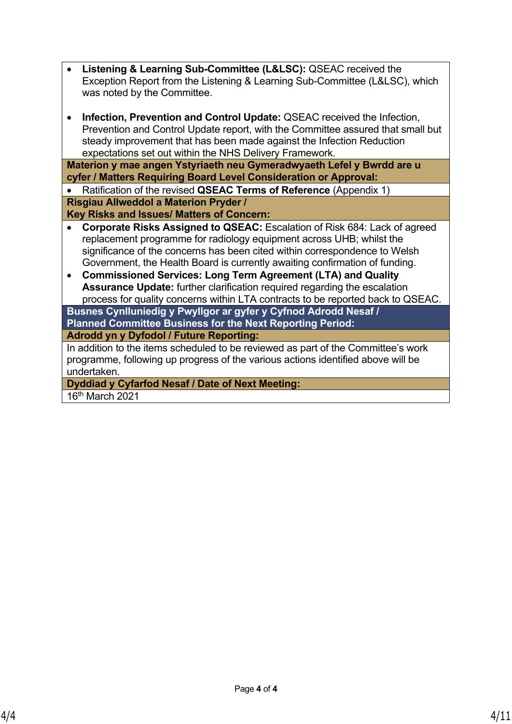| • Listening & Learning Sub-Committee (L&LSC): QSEAC received the            |
|-----------------------------------------------------------------------------|
| Exception Report from the Listening & Learning Sub-Committee (L&LSC), which |
| was noted by the Committee.                                                 |

 **Infection, Prevention and Control Update:** QSEAC received the Infection, Prevention and Control Update report, with the Committee assured that small but steady improvement that has been made against the Infection Reduction expectations set out within the NHS Delivery Framework.

**Materion y mae angen Ystyriaeth neu Gymeradwyaeth Lefel y Bwrdd are u cyfer / Matters Requiring Board Level Consideration or Approval:**

 Ratification of the revised **QSEAC Terms of Reference** (Appendix 1) **Risgiau Allweddol a Materion Pryder /**

**Key Risks and Issues/ Matters of Concern:**

- **Corporate Risks Assigned to QSEAC:** Escalation of Risk 684: Lack of agreed replacement programme for radiology equipment across UHB; whilst the significance of the concerns has been cited within correspondence to Welsh Government, the Health Board is currently awaiting confirmation of funding.
- **Commissioned Services: Long Term Agreement (LTA) and Quality Assurance Update:** further clarification required regarding the escalation process for quality concerns within LTA contracts to be reported back to QSEAC.

**Busnes Cynlluniedig y Pwyllgor ar gyfer y Cyfnod Adrodd Nesaf / Planned Committee Business for the Next Reporting Period: Adrodd yn y Dyfodol / Future Reporting:**

In addition to the items scheduled to be reviewed as part of the Committee's work programme, following up progress of the various actions identified above will be undertaken.

**Dyddiad y Cyfarfod Nesaf / Date of Next Meeting:**

16th March 2021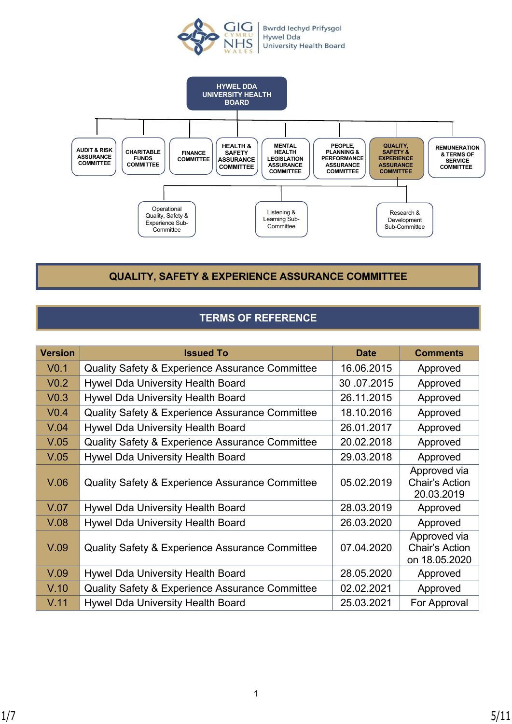



**QUALITY, SAFETY & EXPERIENCE ASSURANCE COMMITTEE**

# **TERMS OF REFERENCE**

| <b>Version</b>   | <b>Issued To</b>                                           | <b>Date</b> | <b>Comments</b>                                        |
|------------------|------------------------------------------------------------|-------------|--------------------------------------------------------|
| V <sub>0.1</sub> | <b>Quality Safety &amp; Experience Assurance Committee</b> | 16.06.2015  | Approved                                               |
| V <sub>0.2</sub> | Hywel Dda University Health Board                          | 30.07.2015  | Approved                                               |
| V <sub>0.3</sub> | <b>Hywel Dda University Health Board</b>                   | 26.11.2015  | Approved                                               |
| V <sub>0.4</sub> | <b>Quality Safety &amp; Experience Assurance Committee</b> | 18.10.2016  | Approved                                               |
| V.04             | Hywel Dda University Health Board                          | 26.01.2017  | Approved                                               |
| V.05             | <b>Quality Safety &amp; Experience Assurance Committee</b> | 20.02.2018  | Approved                                               |
| V.05             | Hywel Dda University Health Board                          | 29.03.2018  | Approved                                               |
| V.06             | <b>Quality Safety &amp; Experience Assurance Committee</b> | 05.02.2019  | Approved via<br>Chair's Action<br>20.03.2019           |
| V.07             | <b>Hywel Dda University Health Board</b>                   | 28.03.2019  | Approved                                               |
| V.08             | Hywel Dda University Health Board                          | 26.03.2020  | Approved                                               |
| V.09             | Quality Safety & Experience Assurance Committee            | 07.04.2020  | Approved via<br><b>Chair's Action</b><br>on 18.05.2020 |
| V.09             | <b>Hywel Dda University Health Board</b>                   | 28.05.2020  | Approved                                               |
| V.10             | <b>Quality Safety &amp; Experience Assurance Committee</b> | 02.02.2021  | Approved                                               |
| V.11             | Hywel Dda University Health Board                          | 25.03.2021  | For Approval                                           |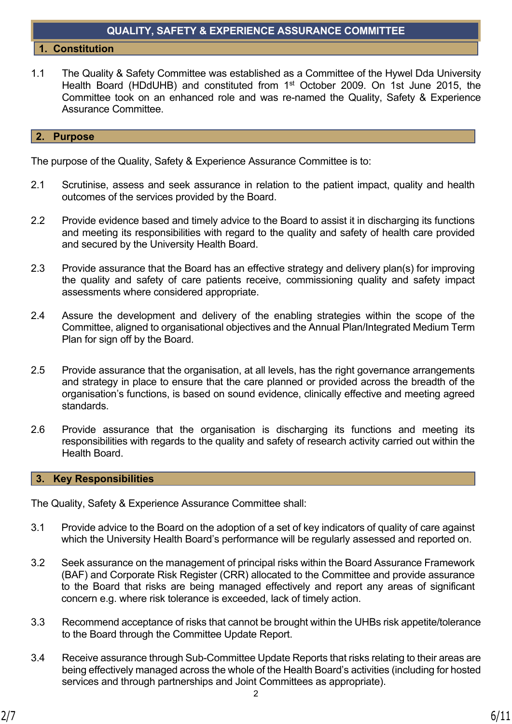## **QUALITY, SAFETY & EXPERIENCE ASSURANCE COMMITTEE**

#### **1. Constitution**

1.1 The Quality & Safety Committee was established as a Committee of the Hywel Dda University Health Board (HDdUHB) and constituted from 1st October 2009. On 1st June 2015, the Committee took on an enhanced role and was re-named the Quality, Safety & Experience Assurance Committee.

#### **2. Purpose**

The purpose of the Quality, Safety & Experience Assurance Committee is to:

- 2.1 Scrutinise, assess and seek assurance in relation to the patient impact, quality and health outcomes of the services provided by the Board.
- 2.2 Provide evidence based and timely advice to the Board to assist it in discharging its functions and meeting its responsibilities with regard to the quality and safety of health care provided and secured by the University Health Board.
- 2.3 Provide assurance that the Board has an effective strategy and delivery plan(s) for improving the quality and safety of care patients receive, commissioning quality and safety impact assessments where considered appropriate.
- 2.4 Assure the development and delivery of the enabling strategies within the scope of the Committee, aligned to organisational objectives and the Annual Plan/Integrated Medium Term Plan for sign off by the Board.
- 2.5 Provide assurance that the organisation, at all levels, has the right governance arrangements and strategy in place to ensure that the care planned or provided across the breadth of the organisation's functions, is based on sound evidence, clinically effective and meeting agreed standards.
- 2.6 Provide assurance that the organisation is discharging its functions and meeting its responsibilities with regards to the quality and safety of research activity carried out within the Health Board.

#### **3. Key Responsibilities**

The Quality, Safety & Experience Assurance Committee shall:

- 3.1 Provide advice to the Board on the adoption of a set of key indicators of quality of care against which the University Health Board's performance will be regularly assessed and reported on.
- 3.2 Seek assurance on the management of principal risks within the Board Assurance Framework (BAF) and Corporate Risk Register (CRR) allocated to the Committee and provide assurance to the Board that risks are being managed effectively and report any areas of significant concern e.g. where risk tolerance is exceeded, lack of timely action.
- 3.3 Recommend acceptance of risks that cannot be brought within the UHBs risk appetite/tolerance to the Board through the Committee Update Report.
- 3.4 Receive assurance through Sub-Committee Update Reports that risks relating to their areas are being effectively managed across the whole of the Health Board's activities (including for hosted services and through partnerships and Joint Committees as appropriate).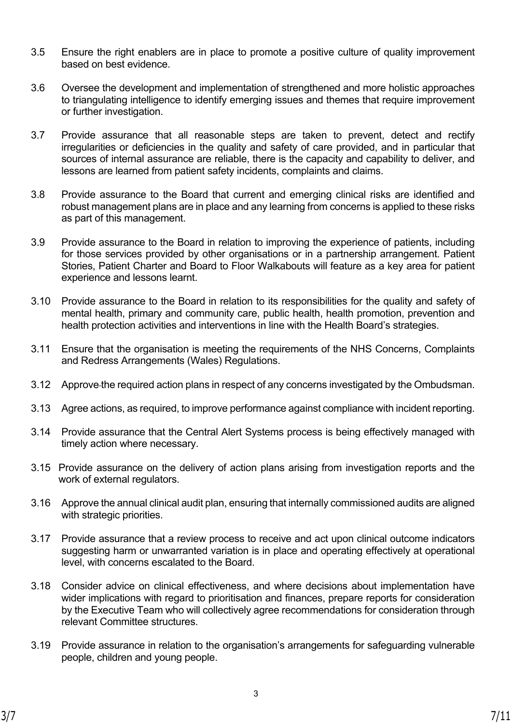- 3.5 Ensure the right enablers are in place to promote a positive culture of quality improvement based on best evidence.
- 3.6 Oversee the development and implementation of strengthened and more holistic approaches to triangulating intelligence to identify emerging issues and themes that require improvement or further investigation.
- 3.7 Provide assurance that all reasonable steps are taken to prevent, detect and rectify irregularities or deficiencies in the quality and safety of care provided, and in particular that sources of internal assurance are reliable, there is the capacity and capability to deliver, and lessons are learned from patient safety incidents, complaints and claims.
- 3.8 Provide assurance to the Board that current and emerging clinical risks are identified and robust management plans are in place and any learning from concerns is applied to these risks as part of this management.
- 3.9 Provide assurance to the Board in relation to improving the experience of patients, including for those services provided by other organisations or in a partnership arrangement. Patient Stories, Patient Charter and Board to Floor Walkabouts will feature as a key area for patient experience and lessons learnt.
- 3.10 Provide assurance to the Board in relation to its responsibilities for the quality and safety of mental health, primary and community care, public health, health promotion, prevention and health protection activities and interventions in line with the Health Board's strategies.
- 3.11 Ensure that the organisation is meeting the requirements of the NHS Concerns, Complaints and Redress Arrangements (Wales) Regulations.
- 3.12 Approve the required action plans in respect of any concerns investigated by the Ombudsman.
- 3.13 Agree actions, as required, to improve performance against compliance with incident reporting.
- 3.14 Provide assurance that the Central Alert Systems process is being effectively managed with timely action where necessary.
- 3.15 Provide assurance on the delivery of action plans arising from investigation reports and the work of external regulators.
- 3.16 Approve the annual clinical audit plan, ensuring that internally commissioned audits are aligned with strategic priorities.
- 3.17 Provide assurance that a review process to receive and act upon clinical outcome indicators suggesting harm or unwarranted variation is in place and operating effectively at operational level, with concerns escalated to the Board.
- 3.18 Consider advice on clinical effectiveness, and where decisions about implementation have wider implications with regard to prioritisation and finances, prepare reports for consideration by the Executive Team who will collectively agree recommendations for consideration through relevant Committee structures.
- 3.19 Provide assurance in relation to the organisation's arrangements for safeguarding vulnerable people, children and young people.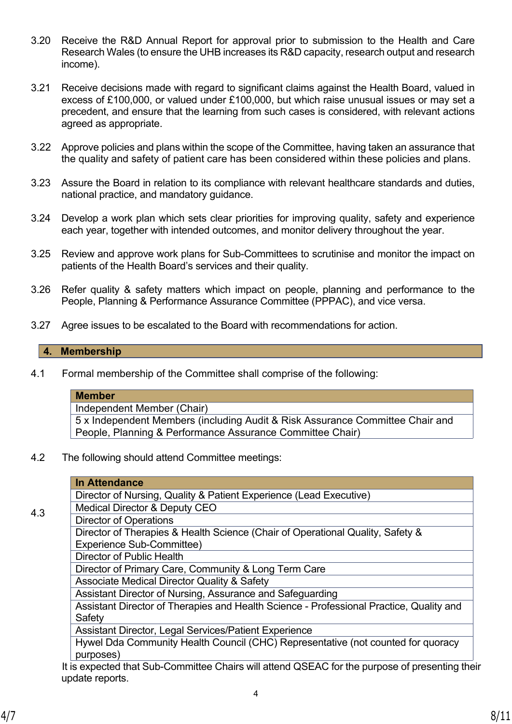- 3.20 Receive the R&D Annual Report for approval prior to submission to the Health and Care Research Wales (to ensure the UHB increases its R&D capacity, research output and research income).
- 3.21 Receive decisions made with regard to significant claims against the Health Board, valued in excess of £100,000, or valued under £100,000, but which raise unusual issues or may set a precedent, and ensure that the learning from such cases is considered, with relevant actions agreed as appropriate.
- 3.22 Approve policies and plans within the scope of the Committee, having taken an assurance that the quality and safety of patient care has been considered within these policies and plans.
- 3.23 Assure the Board in relation to its compliance with relevant healthcare standards and duties, national practice, and mandatory guidance.
- 3.24 Develop a work plan which sets clear priorities for improving quality, safety and experience each year, together with intended outcomes, and monitor delivery throughout the year.
- 3.25 Review and approve work plans for Sub-Committees to scrutinise and monitor the impact on patients of the Health Board's services and their quality.
- 3.26 Refer quality & safety matters which impact on people, planning and performance to the People, Planning & Performance Assurance Committee (PPPAC), and vice versa.
- 3.27 Agree issues to be escalated to the Board with recommendations for action.

### **4. Membership**

4.1 Formal membership of the Committee shall comprise of the following:

## **Member**

Independent Member (Chair)

5 x Independent Members (including Audit & Risk Assurance Committee Chair and People, Planning & Performance Assurance Committee Chair)

4.2 The following should attend Committee meetings:

|     | <b>In Attendance</b>                                                                                |
|-----|-----------------------------------------------------------------------------------------------------|
| 4.3 | Director of Nursing, Quality & Patient Experience (Lead Executive)                                  |
|     | <b>Medical Director &amp; Deputy CEO</b>                                                            |
|     | <b>Director of Operations</b>                                                                       |
|     | Director of Therapies & Health Science (Chair of Operational Quality, Safety &                      |
|     | Experience Sub-Committee)                                                                           |
|     | Director of Public Health                                                                           |
|     | Director of Primary Care, Community & Long Term Care                                                |
|     | <b>Associate Medical Director Quality &amp; Safety</b>                                              |
|     | Assistant Director of Nursing, Assurance and Safeguarding                                           |
|     | Assistant Director of Therapies and Health Science - Professional Practice, Quality and             |
|     | Safety                                                                                              |
|     | Assistant Director, Legal Services/Patient Experience                                               |
|     | Hywel Dda Community Health Council (CHC) Representative (not counted for quoracy                    |
|     | purposes)                                                                                           |
|     | It is expected that $S_{11}$ Committee Chairs will attend $OSEAP$ for the purpose of presenting the |

It is expected that Sub-Committee Chairs will attend QSEAC for the purpose of presenting their update reports.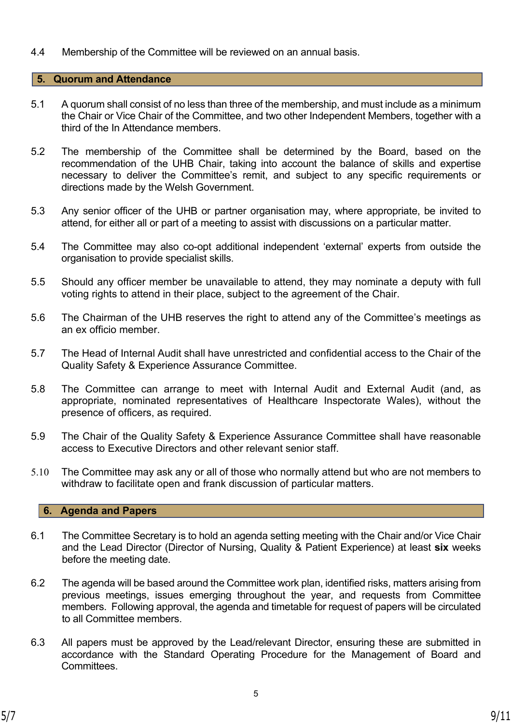4.4 Membership of the Committee will be reviewed on an annual basis.

#### **5. Quorum and Attendance**

- 5.1 A quorum shall consist of no less than three of the membership, and must include as a minimum the Chair or Vice Chair of the Committee, and two other Independent Members, together with a third of the In Attendance members.
- 5.2 The membership of the Committee shall be determined by the Board, based on the recommendation of the UHB Chair, taking into account the balance of skills and expertise necessary to deliver the Committee's remit, and subject to any specific requirements or directions made by the Welsh Government.
- 5.3 Any senior officer of the UHB or partner organisation may, where appropriate, be invited to attend, for either all or part of a meeting to assist with discussions on a particular matter.
- 5.4 The Committee may also co-opt additional independent 'external' experts from outside the organisation to provide specialist skills.
- 5.5 Should any officer member be unavailable to attend, they may nominate a deputy with full voting rights to attend in their place, subject to the agreement of the Chair.
- 5.6 The Chairman of the UHB reserves the right to attend any of the Committee's meetings as an ex officio member.
- 5.7 The Head of Internal Audit shall have unrestricted and confidential access to the Chair of the Quality Safety & Experience Assurance Committee.
- 5.8 The Committee can arrange to meet with Internal Audit and External Audit (and, as appropriate, nominated representatives of Healthcare Inspectorate Wales), without the presence of officers, as required.
- 5.9 The Chair of the Quality Safety & Experience Assurance Committee shall have reasonable access to Executive Directors and other relevant senior staff.
- 5.10 The Committee may ask any or all of those who normally attend but who are not members to withdraw to facilitate open and frank discussion of particular matters.

## **6. Agenda and Papers**

- 6.1 The Committee Secretary is to hold an agenda setting meeting with the Chair and/or Vice Chair and the Lead Director (Director of Nursing, Quality & Patient Experience) at least **six** weeks before the meeting date.
- 6.2 The agenda will be based around the Committee work plan, identified risks, matters arising from previous meetings, issues emerging throughout the year, and requests from Committee members. Following approval, the agenda and timetable for request of papers will be circulated to all Committee members.
- 6.3 All papers must be approved by the Lead/relevant Director, ensuring these are submitted in accordance with the Standard Operating Procedure for the Management of Board and **Committees**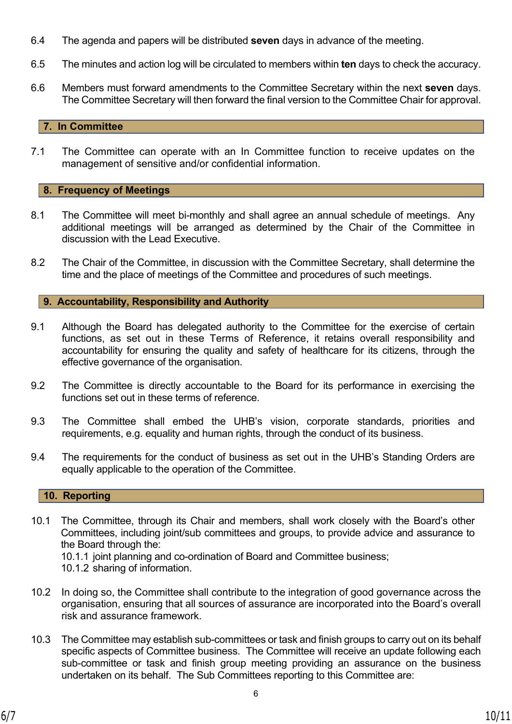- 6.4 The agenda and papers will be distributed **seven** days in advance of the meeting.
- 6.5 The minutes and action log will be circulated to members within **ten** days to check the accuracy.
- 6.6 Members must forward amendments to the Committee Secretary within the next **seven** days. The Committee Secretary will then forward the final version to the Committee Chair for approval.

## **7. In Committee**

7.1 The Committee can operate with an In Committee function to receive updates on the management of sensitive and/or confidential information.

## **8. Frequency of Meetings**

- 8.1 The Committee will meet bi-monthly and shall agree an annual schedule of meetings. Any additional meetings will be arranged as determined by the Chair of the Committee in discussion with the Lead Executive.
- 8.2 The Chair of the Committee, in discussion with the Committee Secretary, shall determine the time and the place of meetings of the Committee and procedures of such meetings.

**9. Accountability, Responsibility and Authority**

- 9.1 Although the Board has delegated authority to the Committee for the exercise of certain functions, as set out in these Terms of Reference, it retains overall responsibility and accountability for ensuring the quality and safety of healthcare for its citizens, through the effective governance of the organisation.
- 9.2 The Committee is directly accountable to the Board for its performance in exercising the functions set out in these terms of reference.
- 9.3 The Committee shall embed the UHB's vision, corporate standards, priorities and requirements, e.g. equality and human rights, through the conduct of its business.
- 9.4 The requirements for the conduct of business as set out in the UHB's Standing Orders are equally applicable to the operation of the Committee.

## **10. Reporting**

10.1 The Committee, through its Chair and members, shall work closely with the Board's other Committees, including joint/sub committees and groups, to provide advice and assurance to the Board through the:

10.1.1 joint planning and co-ordination of Board and Committee business;

10.1.2 sharing of information.

- 10.2 In doing so, the Committee shall contribute to the integration of good governance across the organisation, ensuring that all sources of assurance are incorporated into the Board's overall risk and assurance framework.
- 10.3 The Committee may establish sub-committees or task and finish groups to carry out on its behalf specific aspects of Committee business. The Committee will receive an update following each sub-committee or task and finish group meeting providing an assurance on the business undertaken on its behalf. The Sub Committees reporting to this Committee are: